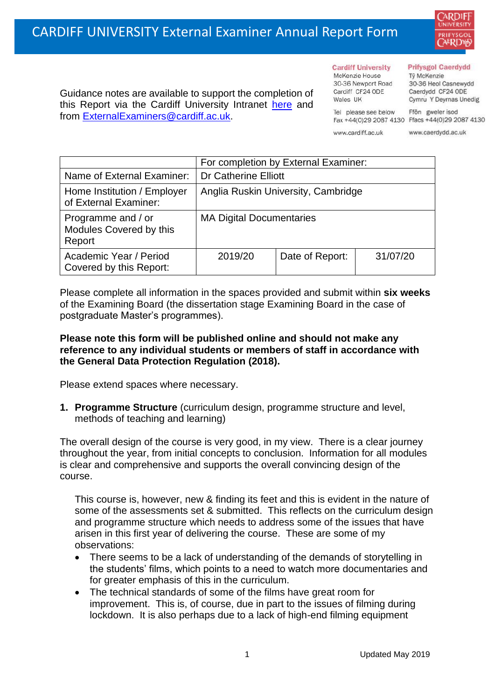

Guidance notes are available to support the completion of this Report via the Cardiff University Intranet [here](https://intranet.cardiff.ac.uk/staff/teaching-and-supporting-students/exams-and-assessment/exam-boards-and-external-examiners/for-current-external-examiners/external-examiners-reports) and from [ExternalExaminers@cardiff.ac.uk.](mailto:ExternalExaminers@cardiff.ac.uk)

**Cardiff University** McKenzie House 30-36 Newport Road

## **Prifysgol Caerdydd**

Từ McKenzie 30-36 Heol Casnewydd Caerdydd CF24 ODE Cymru Y Deyrnas Unedig

Ffôn gweler isod Fax +44(0)29 2087 4130 Ffacs +44(0)29 2087 4130

www.cardiff.ac.uk

Tel please see below

Cardiff CF24 ODE

Wales UK

www.caerdydd.ac.uk

|                                                         | For completion by External Examiner: |                 |          |  |
|---------------------------------------------------------|--------------------------------------|-----------------|----------|--|
| Name of External Examiner:                              | <b>Dr Catherine Elliott</b>          |                 |          |  |
| Home Institution / Employer<br>of External Examiner:    | Anglia Ruskin University, Cambridge  |                 |          |  |
| Programme and / or<br>Modules Covered by this<br>Report | <b>MA Digital Documentaries</b>      |                 |          |  |
| Academic Year / Period<br>Covered by this Report:       | 2019/20                              | Date of Report: | 31/07/20 |  |

Please complete all information in the spaces provided and submit within **six weeks** of the Examining Board (the dissertation stage Examining Board in the case of postgraduate Master's programmes).

## **Please note this form will be published online and should not make any reference to any individual students or members of staff in accordance with the General Data Protection Regulation (2018).**

Please extend spaces where necessary.

**1. Programme Structure** (curriculum design, programme structure and level, methods of teaching and learning)

The overall design of the course is very good, in my view. There is a clear journey throughout the year, from initial concepts to conclusion. Information for all modules is clear and comprehensive and supports the overall convincing design of the course.

This course is, however, new & finding its feet and this is evident in the nature of some of the assessments set & submitted. This reflects on the curriculum design and programme structure which needs to address some of the issues that have arisen in this first year of delivering the course. These are some of my observations:

- There seems to be a lack of understanding of the demands of storytelling in the students' films, which points to a need to watch more documentaries and for greater emphasis of this in the curriculum.
- The technical standards of some of the films have great room for improvement. This is, of course, due in part to the issues of filming during lockdown. It is also perhaps due to a lack of high-end filming equipment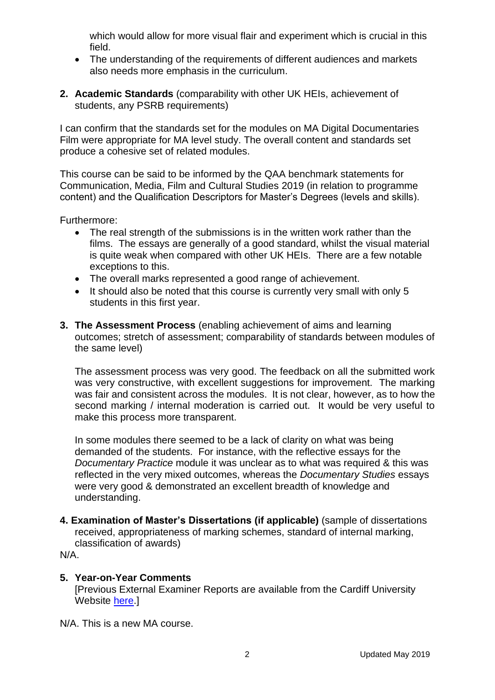which would allow for more visual flair and experiment which is crucial in this field.

- The understanding of the requirements of different audiences and markets also needs more emphasis in the curriculum.
- **2. Academic Standards** (comparability with other UK HEIs, achievement of students, any PSRB requirements)

I can confirm that the standards set for the modules on MA Digital Documentaries Film were appropriate for MA level study. The overall content and standards set produce a cohesive set of related modules.

This course can be said to be informed by the QAA benchmark statements for Communication, Media, Film and Cultural Studies 2019 (in relation to programme content) and the Qualification Descriptors for Master's Degrees (levels and skills).

Furthermore:

- The real strength of the submissions is in the written work rather than the films. The essays are generally of a good standard, whilst the visual material is quite weak when compared with other UK HEIs. There are a few notable exceptions to this.
- The overall marks represented a good range of achievement.
- It should also be noted that this course is currently very small with only 5 students in this first year.
- **3. The Assessment Process** (enabling achievement of aims and learning outcomes; stretch of assessment; comparability of standards between modules of the same level)

The assessment process was very good. The feedback on all the submitted work was very constructive, with excellent suggestions for improvement. The marking was fair and consistent across the modules. It is not clear, however, as to how the second marking / internal moderation is carried out. It would be very useful to make this process more transparent.

In some modules there seemed to be a lack of clarity on what was being demanded of the students. For instance, with the reflective essays for the *Documentary Practice* module it was unclear as to what was required & this was reflected in the very mixed outcomes, whereas the *Documentary Studies* essays were very good & demonstrated an excellent breadth of knowledge and understanding.

**4. Examination of Master's Dissertations (if applicable)** (sample of dissertations received, appropriateness of marking schemes, standard of internal marking, classification of awards)

N/A.

## **5. Year-on-Year Comments**

[Previous External Examiner Reports are available from the Cardiff University Website [here.](https://www.cardiff.ac.uk/public-information/quality-and-standards/external-examiner-reports)]

N/A. This is a new MA course.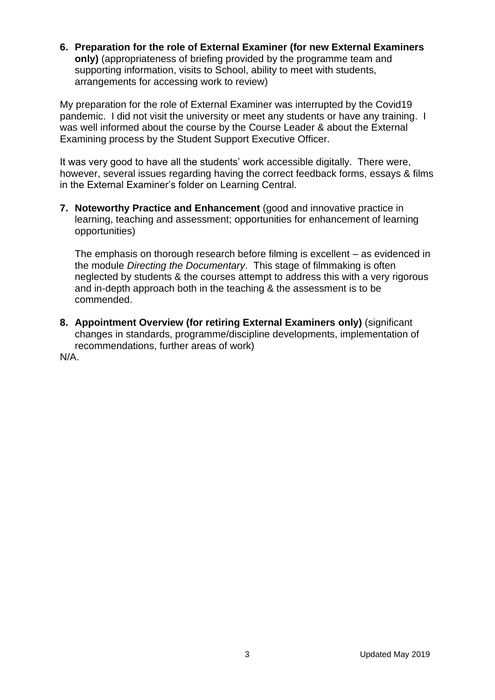**6. Preparation for the role of External Examiner (for new External Examiners only)** (appropriateness of briefing provided by the programme team and supporting information, visits to School, ability to meet with students, arrangements for accessing work to review)

My preparation for the role of External Examiner was interrupted by the Covid19 pandemic. I did not visit the university or meet any students or have any training. I was well informed about the course by the Course Leader & about the External Examining process by the Student Support Executive Officer.

It was very good to have all the students' work accessible digitally. There were, however, several issues regarding having the correct feedback forms, essays & films in the External Examiner's folder on Learning Central.

**7. Noteworthy Practice and Enhancement** (good and innovative practice in learning, teaching and assessment; opportunities for enhancement of learning opportunities)

The emphasis on thorough research before filming is excellent – as evidenced in the module *Directing the Documentary*. This stage of filmmaking is often neglected by students & the courses attempt to address this with a very rigorous and in-depth approach both in the teaching & the assessment is to be commended.

**8. Appointment Overview (for retiring External Examiners only)** (significant changes in standards, programme/discipline developments, implementation of recommendations, further areas of work)

N/A.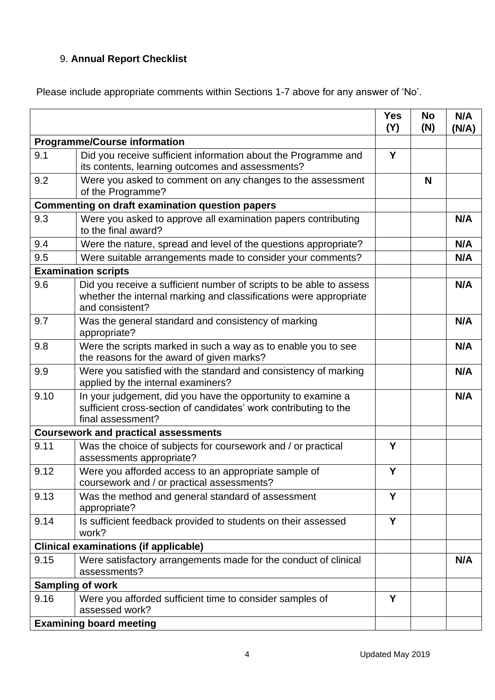## 9. **Annual Report Checklist**

Please include appropriate comments within Sections 1-7 above for any answer of 'No'.

|                                                        |                                                                                                                                                             | <b>Yes</b><br>(Y) | <b>No</b><br>(N) | N/A<br>(N/A) |  |
|--------------------------------------------------------|-------------------------------------------------------------------------------------------------------------------------------------------------------------|-------------------|------------------|--------------|--|
| <b>Programme/Course information</b>                    |                                                                                                                                                             |                   |                  |              |  |
| 9.1                                                    | Did you receive sufficient information about the Programme and<br>its contents, learning outcomes and assessments?                                          | Y                 |                  |              |  |
| 9.2                                                    | Were you asked to comment on any changes to the assessment<br>of the Programme?                                                                             |                   | N                |              |  |
| <b>Commenting on draft examination question papers</b> |                                                                                                                                                             |                   |                  |              |  |
| 9.3                                                    | Were you asked to approve all examination papers contributing<br>to the final award?                                                                        |                   |                  | N/A          |  |
| 9.4                                                    | Were the nature, spread and level of the questions appropriate?                                                                                             |                   |                  | N/A          |  |
| 9.5                                                    | Were suitable arrangements made to consider your comments?                                                                                                  |                   |                  | N/A          |  |
| <b>Examination scripts</b>                             |                                                                                                                                                             |                   |                  |              |  |
| 9.6                                                    | Did you receive a sufficient number of scripts to be able to assess<br>whether the internal marking and classifications were appropriate<br>and consistent? |                   |                  | N/A          |  |
| 9.7                                                    | Was the general standard and consistency of marking<br>appropriate?                                                                                         |                   |                  | N/A          |  |
| 9.8                                                    | Were the scripts marked in such a way as to enable you to see<br>the reasons for the award of given marks?                                                  |                   |                  | N/A          |  |
| 9.9                                                    | Were you satisfied with the standard and consistency of marking<br>applied by the internal examiners?                                                       |                   |                  | N/A          |  |
| 9.10                                                   | In your judgement, did you have the opportunity to examine a<br>sufficient cross-section of candidates' work contributing to the<br>final assessment?       |                   |                  | N/A          |  |
| <b>Coursework and practical assessments</b>            |                                                                                                                                                             |                   |                  |              |  |
| 9.11                                                   | Was the choice of subjects for coursework and / or practical<br>assessments appropriate?                                                                    | Y                 |                  |              |  |
| 9.12                                                   | Were you afforded access to an appropriate sample of<br>coursework and / or practical assessments?                                                          | Y                 |                  |              |  |
| 9.13                                                   | Was the method and general standard of assessment<br>appropriate?                                                                                           | Y                 |                  |              |  |
| 9.14                                                   | Is sufficient feedback provided to students on their assessed<br>work?                                                                                      | Y                 |                  |              |  |
|                                                        | <b>Clinical examinations (if applicable)</b>                                                                                                                |                   |                  |              |  |
| 9.15                                                   | Were satisfactory arrangements made for the conduct of clinical<br>assessments?                                                                             |                   |                  | N/A          |  |
|                                                        | <b>Sampling of work</b>                                                                                                                                     |                   |                  |              |  |
| 9.16                                                   | Were you afforded sufficient time to consider samples of<br>assessed work?                                                                                  | Y                 |                  |              |  |
|                                                        | <b>Examining board meeting</b>                                                                                                                              |                   |                  |              |  |